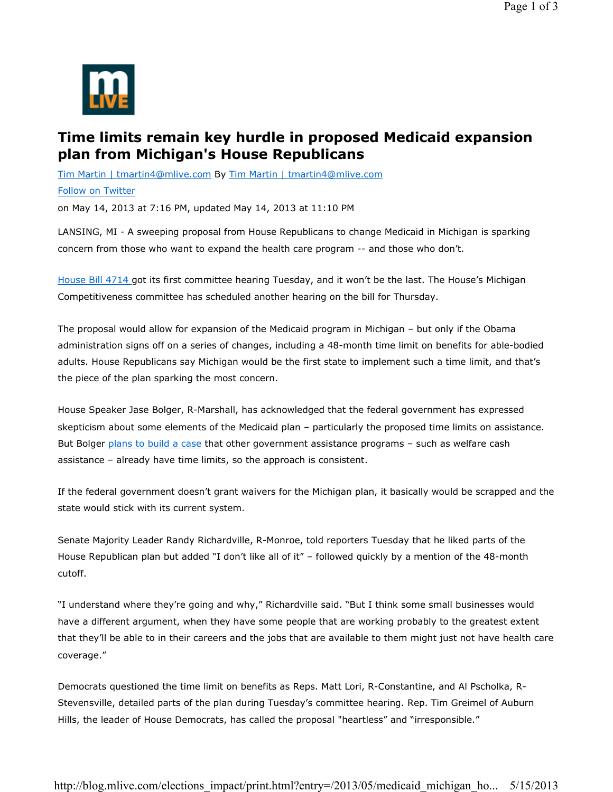

## **Time limits remain key hurdle in proposed Medicaid expansion plan from Michigan's House Republicans**

Tim Martin | tmartin4@mlive.com By Tim Martin | tmartin4@mlive.com

## Follow on Twitter

on May 14, 2013 at 7:16 PM, updated May 14, 2013 at 11:10 PM

LANSING, MI - A sweeping proposal from House Republicans to change Medicaid in Michigan is sparking concern from those who want to expand the health care program -- and those who don't.

House Bill 4714 got its first committee hearing Tuesday, and it won't be the last. The House's Michigan Competitiveness committee has scheduled another hearing on the bill for Thursday.

The proposal would allow for expansion of the Medicaid program in Michigan – but only if the Obama administration signs off on a series of changes, including a 48-month time limit on benefits for able-bodied adults. House Republicans say Michigan would be the first state to implement such a time limit, and that's the piece of the plan sparking the most concern.

House Speaker Jase Bolger, R-Marshall, has acknowledged that the federal government has expressed skepticism about some elements of the Medicaid plan – particularly the proposed time limits on assistance. But Bolger plans to build a case that other government assistance programs – such as welfare cash assistance – already have time limits, so the approach is consistent.

If the federal government doesn't grant waivers for the Michigan plan, it basically would be scrapped and the state would stick with its current system.

Senate Majority Leader Randy Richardville, R-Monroe, told reporters Tuesday that he liked parts of the House Republican plan but added "I don't like all of it" – followed quickly by a mention of the 48-month cutoff.

"I understand where they're going and why," Richardville said. "But I think some small businesses would have a different argument, when they have some people that are working probably to the greatest extent that they'll be able to in their careers and the jobs that are available to them might just not have health care coverage."

Democrats questioned the time limit on benefits as Reps. Matt Lori, R-Constantine, and Al Pscholka, R-Stevensville, detailed parts of the plan during Tuesday's committee hearing. Rep. Tim Greimel of Auburn Hills, the leader of House Democrats, has called the proposal "heartless" and "irresponsible."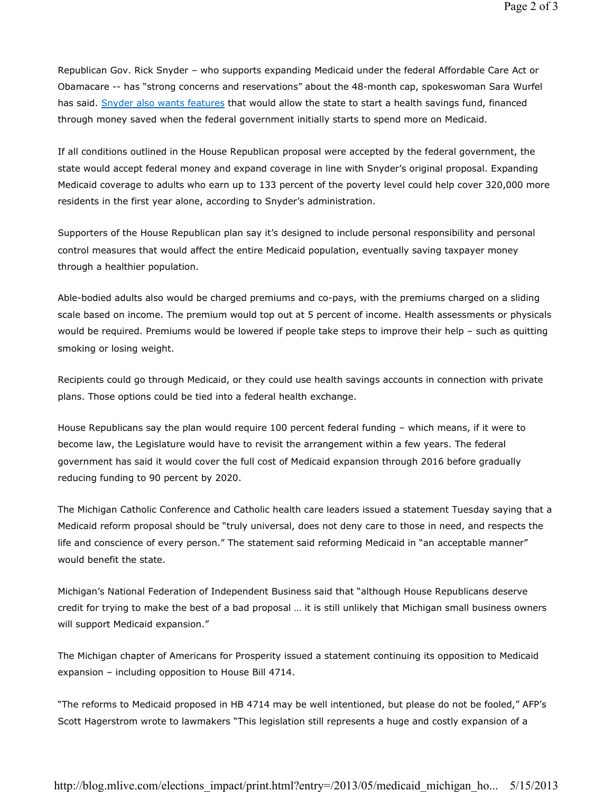Republican Gov. Rick Snyder – who supports expanding Medicaid under the federal Affordable Care Act or Obamacare -- has "strong concerns and reservations" about the 48-month cap, spokeswoman Sara Wurfel has said. Snyder also wants features that would allow the state to start a health savings fund, financed through money saved when the federal government initially starts to spend more on Medicaid.

If all conditions outlined in the House Republican proposal were accepted by the federal government, the state would accept federal money and expand coverage in line with Snyder's original proposal. Expanding Medicaid coverage to adults who earn up to 133 percent of the poverty level could help cover 320,000 more residents in the first year alone, according to Snyder's administration.

Supporters of the House Republican plan say it's designed to include personal responsibility and personal control measures that would affect the entire Medicaid population, eventually saving taxpayer money through a healthier population.

Able-bodied adults also would be charged premiums and co-pays, with the premiums charged on a sliding scale based on income. The premium would top out at 5 percent of income. Health assessments or physicals would be required. Premiums would be lowered if people take steps to improve their help - such as quitting smoking or losing weight.

Recipients could go through Medicaid, or they could use health savings accounts in connection with private plans. Those options could be tied into a federal health exchange.

House Republicans say the plan would require 100 percent federal funding – which means, if it were to become law, the Legislature would have to revisit the arrangement within a few years. The federal government has said it would cover the full cost of Medicaid expansion through 2016 before gradually reducing funding to 90 percent by 2020.

The Michigan Catholic Conference and Catholic health care leaders issued a statement Tuesday saying that a Medicaid reform proposal should be "truly universal, does not deny care to those in need, and respects the life and conscience of every person." The statement said reforming Medicaid in "an acceptable manner" would benefit the state.

Michigan's National Federation of Independent Business said that "although House Republicans deserve credit for trying to make the best of a bad proposal … it is still unlikely that Michigan small business owners will support Medicaid expansion."

The Michigan chapter of Americans for Prosperity issued a statement continuing its opposition to Medicaid expansion – including opposition to House Bill 4714.

"The reforms to Medicaid proposed in HB 4714 may be well intentioned, but please do not be fooled," AFP's Scott Hagerstrom wrote to lawmakers "This legislation still represents a huge and costly expansion of a

http://blog.mlive.com/elections\_impact/print.html?entry=/2013/05/medicaid\_michigan\_ho... 5/15/2013